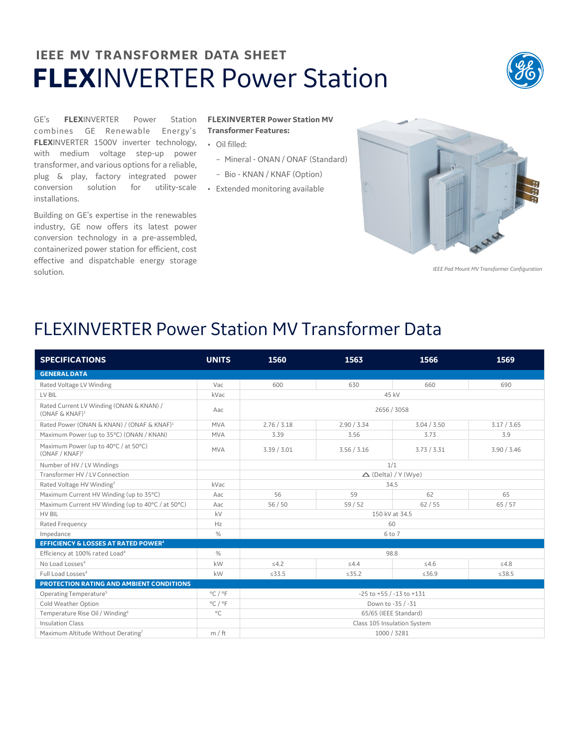## **IEEE MV TRANSFORMER DATA SHEET FLEX**INVERTER Power Station



GE's **FLEX**INVERTER Power Station combines GE Renewable Energy's **FLEX**INVERTER 1500V inverter technology, • Oil filled: with medium voltage step-up power transformer, and various options for a reliable, plug & play, factory integrated power conversion solution for utility-scale • Extended monitoring available installations.

Building on GE's expertise in the renewables industry, GE now offers its latest power conversion technology in a pre-assembled, containerized power station for efficient, cost effective and dispatchable energy storage solution.

## **FLEXINVERTER Power Station MV Transformer Features:**

- 
- Mineral ONAN / ONAF (Standard)
- Bio KNAN / KNAF (Option)
- 



*IEEE Pad Mount MV Transformer Configuration*

## FLEXINVERTER Power Station MV Transformer Data

| <b>SPECIFICATIONS</b>                                         | <b>UNITS</b>                | 1560                             | 1563        | 1566        | 1569        |  |  |  |
|---------------------------------------------------------------|-----------------------------|----------------------------------|-------------|-------------|-------------|--|--|--|
| <b>GENERAL DATA</b>                                           |                             |                                  |             |             |             |  |  |  |
| Rated Voltage LV Winding                                      | Vac                         | 600                              | 630         | 660         | 690         |  |  |  |
| LV BIL                                                        | kVac                        | 45 kV                            |             |             |             |  |  |  |
| Rated Current LV Winding (ONAN & KNAN) /<br>$(ONAF & KNAF)^1$ | Aac                         | 2656 / 3058                      |             |             |             |  |  |  |
| Rated Power (ONAN & KNAN) / (ONAF & KNAF) <sup>1</sup>        | <b>MVA</b>                  | 2.76 / 3.18                      | 2.90 / 3.34 | 3.04 / 3.50 | 3.17 / 3.65 |  |  |  |
| Maximum Power (up to 35°C) (ONAN / KNAN)                      | <b>MVA</b>                  | 3.39                             | 3.56        | 3.73        | 3.9         |  |  |  |
| Maximum Power (up to 40°C / at 50°C)<br>$(ONAF/KNAF)^2$       | <b>MVA</b>                  | 3.39 / 3.01                      | 3.56 / 3.16 | 3.73 / 3.31 | 3.90 / 3.46 |  |  |  |
| Number of HV / LV Windings                                    |                             | 1/1                              |             |             |             |  |  |  |
| Transformer HV / LV Connection                                |                             | $\triangle$ (Delta) / Y (Wye)    |             |             |             |  |  |  |
| Rated Voltage HV Winding <sup>3</sup>                         | kVac                        | 34.5                             |             |             |             |  |  |  |
| Maximum Current HV Winding (up to 35°C)                       | Aac                         | 56                               | 59          | 62          | 65          |  |  |  |
| Maximum Current HV Winding (up to 40°C / at 50°C)             | Aac                         | 56/50                            | 59/52       | 62/55       | 65/57       |  |  |  |
| HV BIL                                                        | kV                          | 150 kV at 34.5                   |             |             |             |  |  |  |
| Rated Frequency                                               | Hz                          | 60                               |             |             |             |  |  |  |
| Impedance                                                     | %                           | 6 to 7                           |             |             |             |  |  |  |
| <b>EFFICIENCY &amp; LOSSES AT RATED POWER4</b>                |                             |                                  |             |             |             |  |  |  |
| Efficiency at 100% rated Load <sup>4</sup>                    | $\%$                        | 98.8                             |             |             |             |  |  |  |
| No Load Losses <sup>4</sup>                                   | kW                          | 54.2                             | 54.4        | 54.6        | 54.8        |  |  |  |
| Full Load Losses <sup>4</sup>                                 | kW                          | ≤33.5                            | $\leq 35.2$ | ≤36.9       | ≤38.5       |  |  |  |
| PROTECTION RATING AND AMBIENT CONDITIONS                      |                             |                                  |             |             |             |  |  |  |
| Operating Temperature <sup>5</sup>                            | $^{\circ}$ C / $^{\circ}$ F | $-25$ to $+55$ / $-13$ to $+131$ |             |             |             |  |  |  |
| Cold Weather Option                                           | $^{\circ}$ C / $^{\circ}$ F | Down to -35 / -31                |             |             |             |  |  |  |
| Temperature Rise Oil / Winding <sup>6</sup>                   | $^{\circ}$ C                | 65/65 (IEEE Standard)            |             |             |             |  |  |  |
| <b>Insulation Class</b>                                       |                             | Class 105 Insulation System      |             |             |             |  |  |  |
| Maximum Altitude Without Derating7                            | m / ft                      | 1000 / 3281                      |             |             |             |  |  |  |